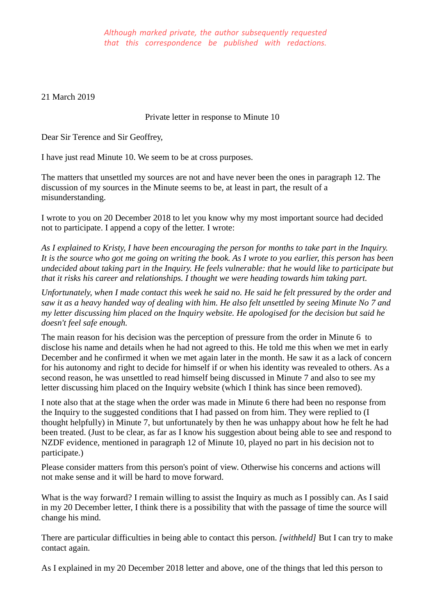21 March 2019

Private letter in response to Minute 10

Dear Sir Terence and Sir Geoffrey,

I have just read Minute 10. We seem to be at cross purposes.

The matters that unsettled my sources are not and have never been the ones in paragraph 12. The discussion of my sources in the Minute seems to be, at least in part, the result of a misunderstanding.

I wrote to you on 20 December 2018 to let you know why my most important source had decided not to participate. I append a copy of the letter. I wrote:

*As I explained to Kristy, I have been encouraging the person for months to take part in the Inquiry. It is the source who got me going on writing the book. As I wrote to you earlier, this person has been undecided about taking part in the Inquiry. He feels vulnerable: that he would like to participate but that it risks his career and relationships. I thought we were heading towards him taking part.* 

*Unfortunately, when I made contact this week he said no. He said he felt pressured by the order and saw it as a heavy handed way of dealing with him. He also felt unsettled by seeing Minute No 7 and my letter discussing him placed on the Inquiry website. He apologised for the decision but said he doesn't feel safe enough.*

The main reason for his decision was the perception of pressure from the order in Minute 6 to disclose his name and details when he had not agreed to this. He told me this when we met in early December and he confirmed it when we met again later in the month. He saw it as a lack of concern for his autonomy and right to decide for himself if or when his identity was revealed to others. As a second reason, he was unsettled to read himself being discussed in Minute 7 and also to see my letter discussing him placed on the Inquiry website (which I think has since been removed).

I note also that at the stage when the order was made in Minute 6 there had been no response from the Inquiry to the suggested conditions that I had passed on from him. They were replied to (I thought helpfully) in Minute 7, but unfortunately by then he was unhappy about how he felt he had been treated. (Just to be clear, as far as I know his suggestion about being able to see and respond to NZDF evidence, mentioned in paragraph 12 of Minute 10, played no part in his decision not to participate.)

Please consider matters from this person's point of view. Otherwise his concerns and actions will not make sense and it will be hard to move forward.

What is the way forward? I remain willing to assist the Inquiry as much as I possibly can. As I said in my 20 December letter, I think there is a possibility that with the passage of time the source will change his mind.

There are particular difficulties in being able to contact this person. *[withheld]* But I can try to make contact again.

As I explained in my 20 December 2018 letter and above, one of the things that led this person to